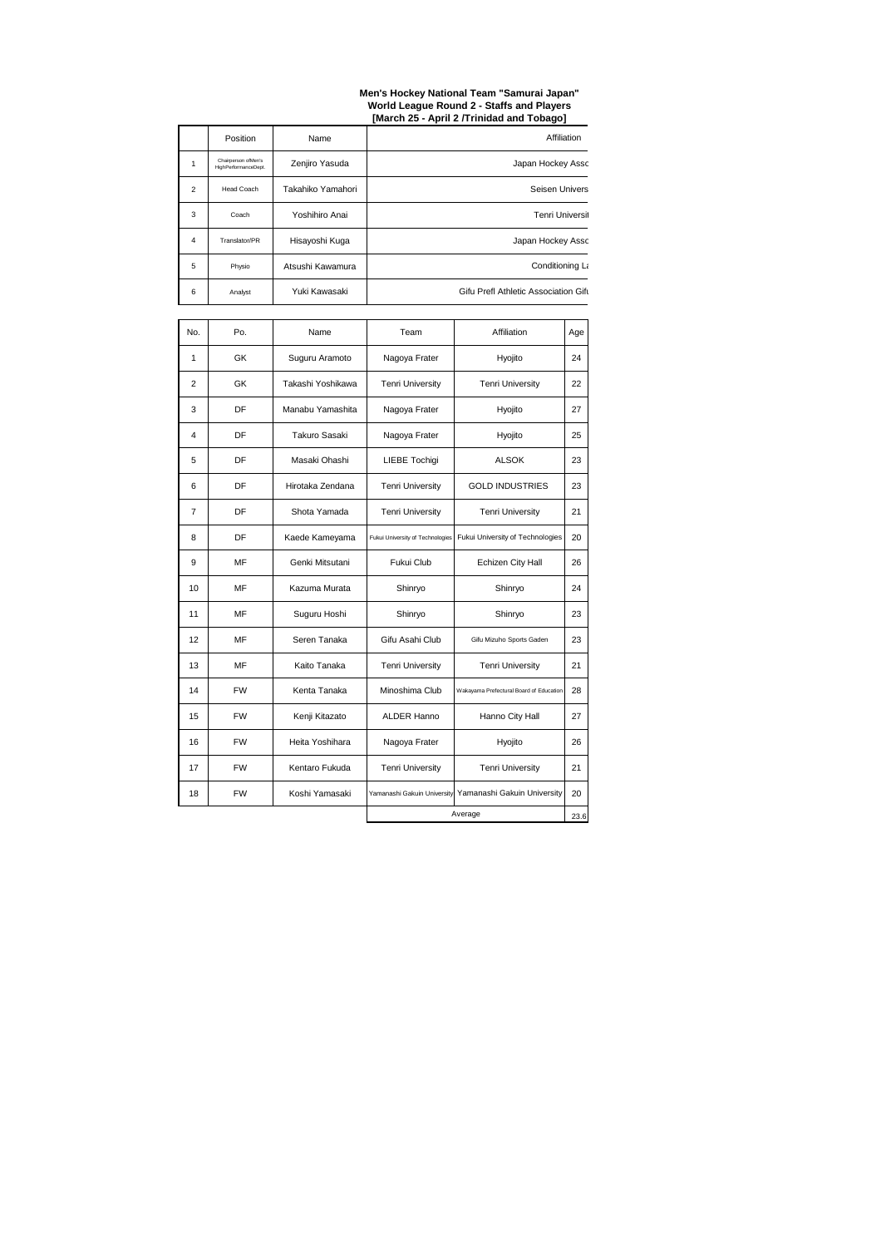| No.            | Po.       | <b>Name</b>           | Affiliation<br>Team              |                                                         | Age  |
|----------------|-----------|-----------------------|----------------------------------|---------------------------------------------------------|------|
| 1              | <b>GK</b> | Suguru Aramoto        | Nagoya Frater<br>Hyojito         |                                                         | 24   |
| 2              | <b>GK</b> | Takashi Yoshikawa     | <b>Tenri University</b>          | <b>Tenri University</b>                                 | 22   |
| 3              | DF        | Manabu Yamashita      | Nagoya Frater                    | <b>Hyojito</b>                                          | 27   |
| $\overline{4}$ | DF        | <b>Takuro Sasaki</b>  | Nagoya Frater                    | Hyojito                                                 | 25   |
| 5              | DF        | Masaki Ohashi         | <b>LIEBE Tochigi</b>             | <b>ALSOK</b>                                            | 23   |
| 6              | DF        | Hirotaka Zendana      | <b>Tenri University</b>          | <b>GOLD INDUSTRIES</b>                                  |      |
| $\overline{7}$ | DF        | Shota Yamada          | <b>Tenri University</b>          | <b>Tenri University</b>                                 |      |
| 8              | DF        | Kaede Kameyama        | Fukui University of Technologies | <b>Fukui University of Technologies</b>                 | 20   |
| 9              | MF        | Genki Mitsutani       | <b>Fukui Club</b>                | <b>Echizen City Hall</b>                                | 26   |
| 10             | <b>MF</b> | Kazuma Murata         | Shinryo                          | Shinryo                                                 | 24   |
| 11             | MF        | Suguru Hoshi          | Shinryo                          | Shinryo                                                 | 23   |
| 12             | MF        | Seren Tanaka          | Gifu Asahi Club                  | Gifu Mizuho Sports Gaden                                | 23   |
| 13             | MF        | Kaito Tanaka          | <b>Tenri University</b>          | <b>Tenri University</b>                                 | 21   |
| 14             | <b>FW</b> | Kenta Tanaka          | Minoshima Club                   | Wakayama Prefectural Board of Education                 | 28   |
| 15             | <b>FW</b> | Kenji Kitazato        | <b>ALDER Hanno</b>               | Hanno City Hall                                         | 27   |
| 16             | <b>FW</b> | Heita Yoshihara       | Nagoya Frater                    | Hyojito                                                 | 26   |
| 17             | <b>FW</b> | <b>Kentaro Fukuda</b> | <b>Tenri University</b>          | <b>Tenri University</b>                                 | 21   |
| 18             | <b>FW</b> | Koshi Yamasaki        |                                  | Yamanashi Gakuin University Yamanashi Gakuin University | 20   |
|                |           |                       |                                  | Average                                                 | 23.6 |

|   | Position                                    | <b>Name</b>       | <b>Affiliation</b>                   |
|---|---------------------------------------------|-------------------|--------------------------------------|
|   | Chairperson ofMen's<br>HighPerformanceDept. | Zenjiro Yasuda    | Japan Hockey Assc                    |
| 2 | <b>Head Coach</b>                           | Takahiko Yamahori | <b>Seisen Univers</b>                |
| 3 | Coach                                       | Yoshihiro Anai    | <b>Tenri Universit</b>               |
| 4 | Translator/PR                               | Hisayoshi Kuga    | Japan Hockey Assc                    |
| 5 | Physio                                      | Atsushi Kawamura  | Conditioning La                      |
| 6 | Analyst                                     | Yuki Kawasaki     | Gifu Prefl Athletic Association Gifu |

## **Men's Hockey National Team "Samurai Japan" World League Round 2 - Staffs and Players [March 25 - April 2 /Trinidad and Tobago]**